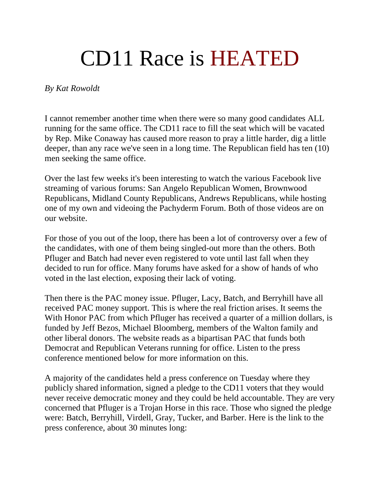## CD11 Race is HEATED

## *By Kat Rowoldt*

I cannot remember another time when there were so many good candidates ALL running for the same office. The CD11 race to fill the seat which will be vacated by Rep. Mike Conaway has caused more reason to pray a little harder, dig a little deeper, than any race we've seen in a long time. The Republican field has ten (10) men seeking the same office.

Over the last few weeks it's been interesting to watch the various Facebook live streaming of various forums: San Angelo Republican Women, Brownwood Republicans, Midland County Republicans, Andrews Republicans, while hosting one of my own and videoing the Pachyderm Forum. Both of those videos are on our website.

For those of you out of the loop, there has been a lot of controversy over a few of the candidates, with one of them being singled-out more than the others. Both Pfluger and Batch had never even registered to vote until last fall when they decided to run for office. Many forums have asked for a show of hands of who voted in the last election, exposing their lack of voting.

Then there is the PAC money issue. Pfluger, Lacy, Batch, and Berryhill have all received PAC money support. This is where the real friction arises. It seems the With Honor PAC from which Pfluger has received a quarter of a million dollars, is funded by Jeff Bezos, Michael Bloomberg, members of the Walton family and other liberal donors. The website reads as a bipartisan PAC that funds both Democrat and Republican Veterans running for office. Listen to the press conference mentioned below for more information on this.

A majority of the candidates held a press conference on Tuesday where they publicly shared information, signed a pledge to the CD11 voters that they would never receive democratic money and they could be held accountable. They are very concerned that Pfluger is a Trojan Horse in this race. Those who signed the pledge were: Batch, Berryhill, Virdell, Gray, Tucker, and Barber. Here is the link to the press conference, about 30 minutes long: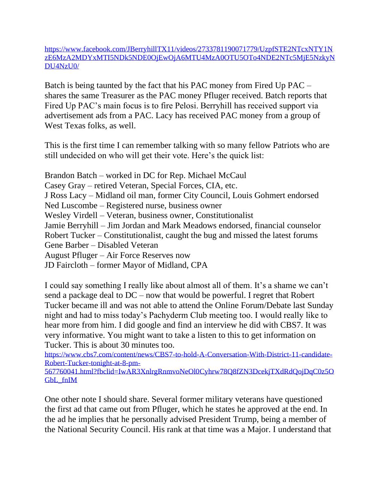[https://www.facebook.com/JBerryhillTX11/videos/2733781190071779/UzpfSTE2NTcxNTY1N](https://www.facebook.com/JBerryhillTX11/videos/2733781190071779/UzpfSTE2NTcxNTY1NzE6MzA2MDYxMTI5NDk5NDE0OjEwOjA6MTU4MzA0OTU5OTo4NDE2NTc5MjE5NzkyNDU4NzU0/) [zE6MzA2MDYxMTI5NDk5NDE0OjEwOjA6MTU4MzA0OTU5OTo4NDE2NTc5MjE5NzkyN](https://www.facebook.com/JBerryhillTX11/videos/2733781190071779/UzpfSTE2NTcxNTY1NzE6MzA2MDYxMTI5NDk5NDE0OjEwOjA6MTU4MzA0OTU5OTo4NDE2NTc5MjE5NzkyNDU4NzU0/) [DU4NzU0/](https://www.facebook.com/JBerryhillTX11/videos/2733781190071779/UzpfSTE2NTcxNTY1NzE6MzA2MDYxMTI5NDk5NDE0OjEwOjA6MTU4MzA0OTU5OTo4NDE2NTc5MjE5NzkyNDU4NzU0/)

Batch is being taunted by the fact that his PAC money from Fired Up PAC – shares the same Treasurer as the PAC money Pfluger received. Batch reports that Fired Up PAC's main focus is to fire Pelosi. Berryhill has received support via advertisement ads from a PAC. Lacy has received PAC money from a group of West Texas folks, as well.

This is the first time I can remember talking with so many fellow Patriots who are still undecided on who will get their vote. Here's the quick list:

Brandon Batch – worked in DC for Rep. Michael McCaul Casey Gray – retired Veteran, Special Forces, CIA, etc. J Ross Lacy – Midland oil man, former City Council, Louis Gohmert endorsed Ned Luscombe – Registered nurse, business owner Wesley Virdell – Veteran, business owner, Constitutionalist Jamie Berryhill – Jim Jordan and Mark Meadows endorsed, financial counselor Robert Tucker – Constitutionalist, caught the bug and missed the latest forums Gene Barber – Disabled Veteran August Pfluger – Air Force Reserves now JD Faircloth – former Mayor of Midland, CPA

I could say something I really like about almost all of them. It's a shame we can't send a package deal to DC – now that would be powerful. I regret that Robert Tucker became ill and was not able to attend the Online Forum/Debate last Sunday night and had to miss today's Pachyderm Club meeting too. I would really like to hear more from him. I did google and find an interview he did with CBS7. It was very informative. You might want to take a listen to this to get information on Tucker. This is about 30 minutes too.

[https://www.cbs7.com/content/news/CBS7-to-hold-A-Conversation-With-District-11-candidate-](https://www.cbs7.com/content/news/CBS7-to-hold-A-Conversation-With-District-11-candidate-Robert-Tucker-tonight-at-8-pm-567760041.html?fbclid=IwAR3XnlrgRnmvoNeOl0Cyhrw78Q8fZN3DcekjTXdRdQojDqC0z5OGbL_fnIM)[Robert-Tucker-tonight-at-8-pm-](https://www.cbs7.com/content/news/CBS7-to-hold-A-Conversation-With-District-11-candidate-Robert-Tucker-tonight-at-8-pm-567760041.html?fbclid=IwAR3XnlrgRnmvoNeOl0Cyhrw78Q8fZN3DcekjTXdRdQojDqC0z5OGbL_fnIM)

[567760041.html?fbclid=IwAR3XnlrgRnmvoNeOl0Cyhrw78Q8fZN3DcekjTXdRdQojDqC0z5O](https://www.cbs7.com/content/news/CBS7-to-hold-A-Conversation-With-District-11-candidate-Robert-Tucker-tonight-at-8-pm-567760041.html?fbclid=IwAR3XnlrgRnmvoNeOl0Cyhrw78Q8fZN3DcekjTXdRdQojDqC0z5OGbL_fnIM) [GbL\\_fnIM](https://www.cbs7.com/content/news/CBS7-to-hold-A-Conversation-With-District-11-candidate-Robert-Tucker-tonight-at-8-pm-567760041.html?fbclid=IwAR3XnlrgRnmvoNeOl0Cyhrw78Q8fZN3DcekjTXdRdQojDqC0z5OGbL_fnIM)

One other note I should share. Several former military veterans have questioned the first ad that came out from Pfluger, which he states he approved at the end. In the ad he implies that he personally advised President Trump, being a member of the National Security Council. His rank at that time was a Major. I understand that